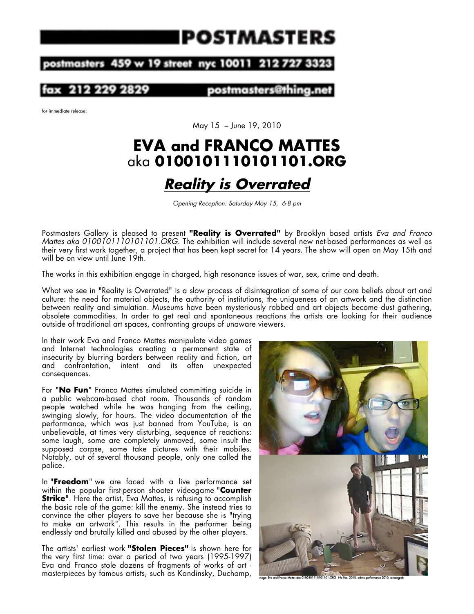# IPOSTMASTERS

#### 459 w 19 street nyc 10011 ostmasters 212

postmasters@1

for immediate release:

May 15 – June 19, 2010

### **EVA and FRANCO MATTES**  aka **0100101110101101.ORG**

## *Reality is Overrated*

*Opening Reception: Saturday May 15, 6-8 pm*

Postmasters Gallery is pleased to present **"Reality is Overrated"** by Brooklyn based artists *Eva and Franco Mattes aka 0100101110101101.ORG.* The exhibition will include several new net-based performances as well as their very first work together, a project that has been kept secret for 14 years. The show will open on May 15th and will be on view until June 19th.

The works in this exhibition engage in charged, high resonance issues of war, sex, crime and death.

What we see in "Reality is Overrated" is a slow process of disintegration of some of our core beliefs about art and culture: the need for material objects, the authority of institutions, the uniqueness of an artwork and the distinction between reality and simulation. Museums have been mysteriously robbed and art objects become dust gathering, obsolete commodities. In order to get real and spontaneous reactions the artists are looking for their audience outside of traditional art spaces, confronting groups of unaware viewers.

In their work Eva and Franco Mattes manipulate video games and Internet technologies creating a permanent state of insecurity by blurring borders between reality and fiction, art and confrontation, intent and its often unexpected consequences.

For "**No Fun**" Franco Mattes simulated committing suicide in a public webcam-based chat room. Thousands of random people watched while he was hanging from the ceiling, swinging slowly, for hours. The video documentation of the performance, which was just banned from YouTube, is an unbelievable, at times very disturbing, sequence of reactions: some laugh, some are completely unmoved, some insult the supposed corpse, some take pictures with their mobiles. Notably, out of several thousand people, only one called the police.

In "**Freedom**" we are faced with a live performance set within the popular first-person shooter videogame "**Counter Strike**". Here the artist, Eva Mattes, is refusing to accomplish the basic role of the game: kill the enemy. She instead tries to convince the other players to save her because she is "trying to make an artwork". This results in the performer being endlessly and brutally killed and abused by the other players.

The artists' earliest work **"Stolen Pieces"** is shown here for the very first time: over a period of two years (1995-1997) Eva and Franco stole dozens of fragments of works of art masterpieces by famous artists, such as Kandinsky, Duchamp,